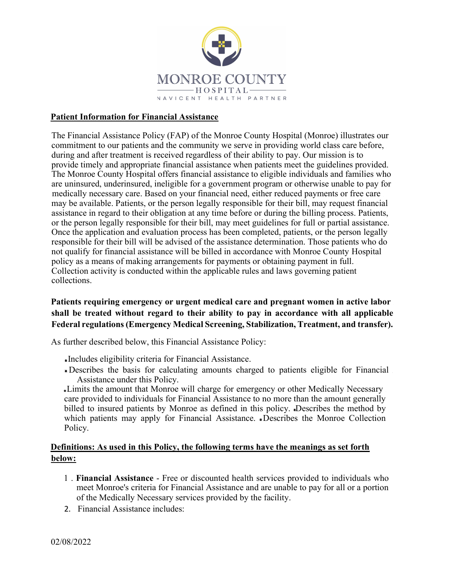

#### Patient Information for Financial Assistance

The Financial Assistance Policy (FAP) of the Monroe County Hospital (Monroe) illustrates our commitment to our patients and the community we serve in providing world class care before, during and after treatment is received regardless of their ability to pay. Our mission is to provide timely and appropriate financial assistance when patients meet the guidelines provided. The Monroe County Hospital offers financial assistance to eligible individuals and families who are uninsured, underinsured, ineligible for a government program or otherwise unable to pay for medically necessary care. Based on your financial need, either reduced payments or free care may be available. Patients, or the person legally responsible for their bill, may request financial assistance in regard to their obligation at any time before or during the billing process. Patients, or the person legally responsible for their bill, may meet guidelines for full or partial assistance. Once the application and evaluation process has been completed, patients, or the person legally responsible for their bill will be advised of the assistance determination. Those patients who do not qualify for financial assistance will be billed in accordance with Monroe County Hospital policy as a means of making arrangements for payments or obtaining payment in full. Collection activity is conducted within the applicable rules and laws governing patient collections.

# Patients requiring emergency or urgent medical care and pregnant women in active labor shall be treated without regard to their ability to pay in accordance with all applicable Federal regulations (Emergency Medical Screening, Stabilization, Treatment, and transfer).

As further described below, this Financial Assistance Policy:

- Includes eligibility criteria for Financial Assistance.
- Describes the basis for calculating amounts charged to patients eligible for Financial Assistance under this Policy.

Limits the amount that Monroe will charge for emergency or other Medically Necessary care provided to individuals for Financial Assistance to no more than the amount generally billed to insured patients by Monroe as defined in this policy. Describes the method by which patients may apply for Financial Assistance. Describes the Monroe Collection Policy.

#### Definitions: As used in this Policy, the following terms have the meanings as set forth below:

- 1 . Financial Assistance Free or discounted health services provided to individuals who meet Monroe's criteria for Financial Assistance and are unable to pay for all or a portion of the Medically Necessary services provided by the facility.
- 2. Financial Assistance includes: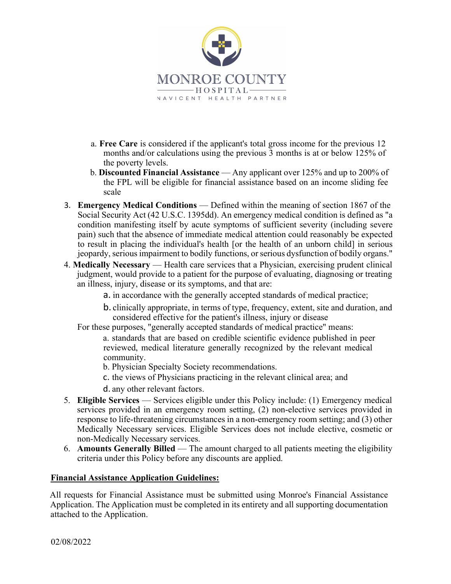

- a. Free Care is considered if the applicant's total gross income for the previous 12 months and/or calculations using the previous 3 months is at or below 125% of the poverty levels.
- b. Discounted Financial Assistance Any applicant over 125% and up to 200% of the FPL will be eligible for financial assistance based on an income sliding fee scale
- 3. Emergency Medical Conditions Defined within the meaning of section 1867 of the Social Security Act (42 U.S.C. 1395dd). An emergency medical condition is defined as "a condition manifesting itself by acute symptoms of sufficient severity (including severe pain) such that the absence of immediate medical attention could reasonably be expected to result in placing the individual's health [or the health of an unborn child] in serious jeopardy, serious impairment to bodily functions, or serious dysfunction of bodily organs."
- 4. Medically Necessary Health care services that a Physician, exercising prudent clinical judgment, would provide to a patient for the purpose of evaluating, diagnosing or treating an illness, injury, disease or its symptoms, and that are:
	- a. in accordance with the generally accepted standards of medical practice;
	- b. clinically appropriate, in terms of type, frequency, extent, site and duration, and considered effective for the patient's illness, injury or disease
	- For these purposes, "generally accepted standards of medical practice" means:
		- a. standards that are based on credible scientific evidence published in peer reviewed, medical literature generally recognized by the relevant medical community.
		- b. Physician Specialty Society recommendations.
		- c. the views of Physicians practicing in the relevant clinical area; and
		- d. any other relevant factors.
- 5. Eligible Services Services eligible under this Policy include: (1) Emergency medical services provided in an emergency room setting, (2) non-elective services provided in response to life-threatening circumstances in a non-emergency room setting; and (3) other Medically Necessary services. Eligible Services does not include elective, cosmetic or non-Medically Necessary services.
- 6. Amounts Generally Billed The amount charged to all patients meeting the eligibility criteria under this Policy before any discounts are applied.

#### Financial Assistance Application Guidelines:

All requests for Financial Assistance must be submitted using Monroe's Financial Assistance Application. The Application must be completed in its entirety and all supporting documentation attached to the Application.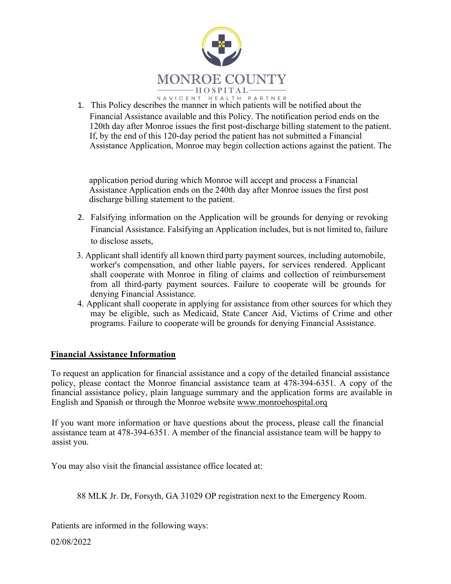

1. This Policy describes the manner in which patients will be notified about the Financial Assistance available and this Policy. The notification period ends on the 120th day after Monroe issues the first post-discharge billing statement to the patient. If, by the end of this 120-day period the patient has not submitted a Financial Assistance Application, Monroe may begin collection actions against the patient. The

application period during which Monroe will accept and process a Financial Assistance Application ends on the 240th day after Monroe issues the first post discharge billing statement to the patient.

- 2. Falsifying information on the Application will be grounds for denying or revoking Financial Assistance. Falsifying an Application includes, but is not limited to, failure to disclose assets,
- 3. Applicant shall identify all known third party payment sources, including automobile, worker's compensation, and other liable payers, for services rendered. Applicant shall cooperate with Monroe in filing of claims and collection of reimbursement from all third-party payment sources. Failure to cooperate will be grounds for denying Financial Assistance.
- 4. Applicant shall cooperate in applying for assistance from other sources for which they may be eligible, such as Medicaid, State Cancer Aid, Victims of Crime and other programs. Failure to cooperate will be grounds for denying Financial Assistance.

## Financial Assistance Information

To request an application for financial assistance and a copy of the detailed financial assistance policy, please contact the Monroe financial assistance team at 478-394-6351. A copy of the financial assistance policy, plain language summary and the application forms are available in English and Spanish or through the Monroe website www.monroehospital.orq

If you want more information or have questions about the process, please call the financial assistance team at 478-394-6351. A member of the financial assistance team will be happy to assist you.

You may also visit the financial assistance office located at:

88 MLK Jr. Dr, Forsyth, GA 31029 OP registration next to the Emergency Room.

Patients are informed in the following ways:

02/08/2022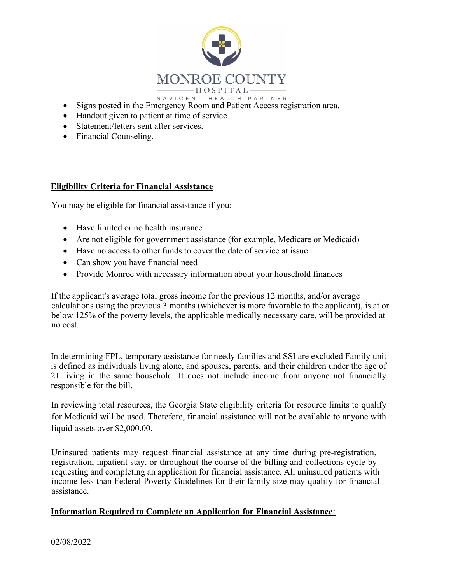

- Signs posted in the Emergency Room and Patient Access registration area.
- Handout given to patient at time of service.
- Statement/letters sent after services.
- Financial Counseling.

#### Eligibility Criteria for Financial Assistance

You may be eligible for financial assistance if you:

- Have limited or no health insurance
- Are not eligible for government assistance (for example, Medicare or Medicaid)
- Have no access to other funds to cover the date of service at issue
- Can show you have financial need
- Provide Monroe with necessary information about your household finances

If the applicant's average total gross income for the previous 12 months, and/or average calculations using the previous 3 months (whichever is more favorable to the applicant), is at or below 125% of the poverty levels, the applicable medically necessary care, will be provided at no cost.

In determining FPL, temporary assistance for needy families and SSI are excluded Family unit is defined as individuals living alone, and spouses, parents, and their children under the age of 21 living in the same household. It does not include income from anyone not financially responsible for the bill.

In reviewing total resources, the Georgia State eligibility criteria for resource limits to qualify for Medicaid will be used. Therefore, financial assistance will not be available to anyone with liquid assets over \$2,000.00.

Uninsured patients may request financial assistance at any time during pre-registration, registration, inpatient stay, or throughout the course of the billing and collections cycle by requesting and completing an application for financial assistance. All uninsured patients with income less than Federal Poverty Guidelines for their family size may qualify for financial assistance.

#### Information Required to Complete an Application for Financial Assistance: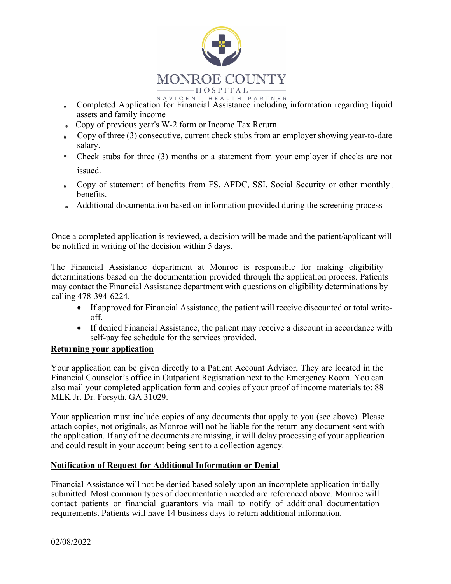

- Completed Application for Financial Assistance including information regarding liquid  $\bullet$ assets and family income
- Copy of previous year's W-2 form or Income Tax Return.
- Copy of three (3) consecutive, current check stubs from an employer showing year-to-date salary.
- Check stubs for three (3) months or a statement from your employer if checks are not issued.
- Copy of statement of benefits from FS, AFDC, SSI, Social Security or other monthly  $\bullet$ benefits.
- Additional documentation based on information provided during the screening process

Once a completed application is reviewed, a decision will be made and the patient/applicant will be notified in writing of the decision within 5 days.

The Financial Assistance department at Monroe is responsible for making eligibility determinations based on the documentation provided through the application process. Patients may contact the Financial Assistance department with questions on eligibility determinations by calling 478-394-6224

- If approved for Financial Assistance, the patient will receive discounted or total writeoff.
- If denied Financial Assistance, the patient may receive a discount in accordance with self-pay fee schedule for the services provided.

## Returning your application

Your application can be given directly to a Patient Account Advisor, They are located in the Financial Counselor's office in Outpatient Registration next to the Emergency Room. You can also mail your completed application form and copies of your proof of income materials to: 88 MLK Jr. Dr. Forsyth, GA 31029.

Your application must include copies of any documents that apply to you (see above). Please attach copies, not originals, as Monroe will not be liable for the return any document sent with the application. If any of the documents are missing, it will delay processing of your application and could result in your account being sent to a collection agency.

## Notification of Request for Additional Information or Denial

Financial Assistance will not be denied based solely upon an incomplete application initially submitted. Most common types of documentation needed are referenced above. Monroe will contact patients or financial guarantors via mail to notify of additional documentation requirements. Patients will have 14 business days to return additional information.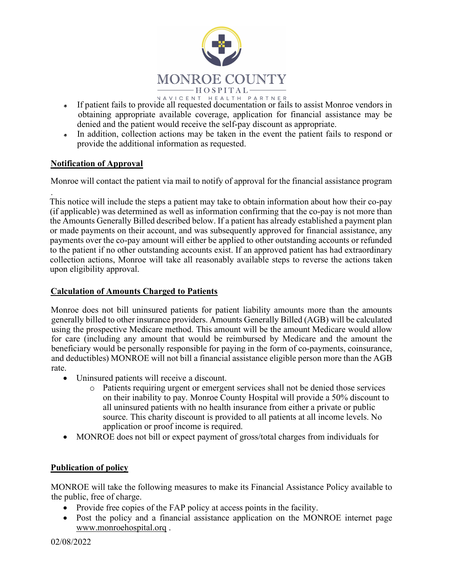

- If patient fails to provide all requested documentation or fails to assist Monroe vendors in  $\bullet$ obtaining appropriate available coverage, application for financial assistance may be denied and the patient would receive the self-pay discount as appropriate.
- In addition, collection actions may be taken in the event the patient fails to respond or  $\bullet$ provide the additional information as requested.

# Notification of Approval

Monroe will contact the patient via mail to notify of approval for the financial assistance program

This notice will include the steps a patient may take to obtain information about how their co-pay (if applicable) was determined as well as information confirming that the co-pay is not more than the Amounts Generally Billed described below. If a patient has already established a payment plan or made payments on their account, and was subsequently approved for financial assistance, any payments over the co-pay amount will either be applied to other outstanding accounts or refunded to the patient if no other outstanding accounts exist. If an approved patient has had extraordinary collection actions, Monroe will take all reasonably available steps to reverse the actions taken upon eligibility approval.

## Calculation of Amounts Charged to Patients

Monroe does not bill uninsured patients for patient liability amounts more than the amounts generally billed to other insurance providers. Amounts Generally Billed (AGB) will be calculated using the prospective Medicare method. This amount will be the amount Medicare would allow for care (including any amount that would be reimbursed by Medicare and the amount the beneficiary would be personally responsible for paying in the form of co-payments, coinsurance, and deductibles) MONROE will not bill a financial assistance eligible person more than the AGB rate.

- Uninsured patients will receive a discount.
	- o Patients requiring urgent or emergent services shall not be denied those services on their inability to pay. Monroe County Hospital will provide a 50% discount to all uninsured patients with no health insurance from either a private or public source. This charity discount is provided to all patients at all income levels. No application or proof income is required.
- MONROE does not bill or expect payment of gross/total charges from individuals for

## Publication of policy

MONROE will take the following measures to make its Financial Assistance Policy available to the public, free of charge.

- Provide free copies of the FAP policy at access points in the facility.
- Post the policy and a financial assistance application on the MONROE internet page www.monroehospital.orq .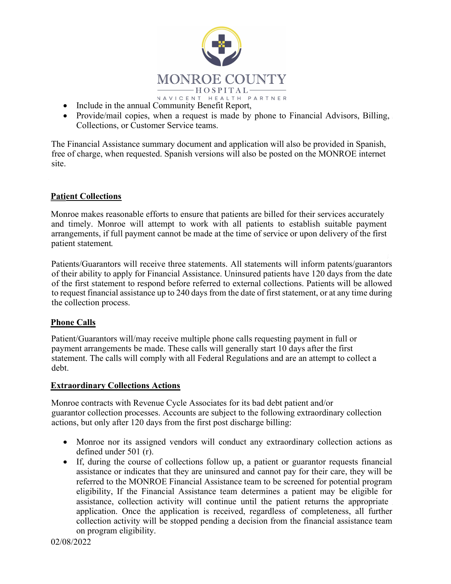

- In  $A V C E N T H E A L T H P A R T N E R$ <br>• Include in the annual Community Benefit Report,
- Provide/mail copies, when a request is made by phone to Financial Advisors, Billing, Collections, or Customer Service teams.

The Financial Assistance summary document and application will also be provided in Spanish, free of charge, when requested. Spanish versions will also be posted on the MONROE internet site.

## Patient Collections

Monroe makes reasonable efforts to ensure that patients are billed for their services accurately and timely. Monroe will attempt to work with all patients to establish suitable payment arrangements, if full payment cannot be made at the time of service or upon delivery of the first patient statement

Patients/Guarantors will receive three statements. All statements will inform patents/guarantors of their ability to apply for Financial Assistance. Uninsured patients have 120 days from the date of the first statement to respond before referred to external collections. Patients will be allowed to request financial assistance up to 240 days from the date of first statement, or at any time during the collection process.

## Phone Calls

Patient/Guarantors will/may receive multiple phone calls requesting payment in full or payment arrangements be made. These calls will generally start 10 days after the first statement. The calls will comply with all Federal Regulations and are an attempt to collect a debt.

## Extraordinary Collections Actions

Monroe contracts with Revenue Cycle Associates for its bad debt patient and/or guarantor collection processes. Accounts are subject to the following extraordinary collection actions, but only after 120 days from the first post discharge billing:

- Monroe nor its assigned vendors will conduct any extraordinary collection actions as defined under 501 (r).
- If, during the course of collections follow up, a patient or guarantor requests financial assistance or indicates that they are uninsured and cannot pay for their care, they will be referred to the MONROE Financial Assistance team to be screened for potential program eligibility, If the Financial Assistance team determines a patient may be eligible for assistance, collection activity will continue until the patient returns the appropriate application. Once the application is received, regardless of completeness, all further collection activity will be stopped pending a decision from the financial assistance team on program eligibility.